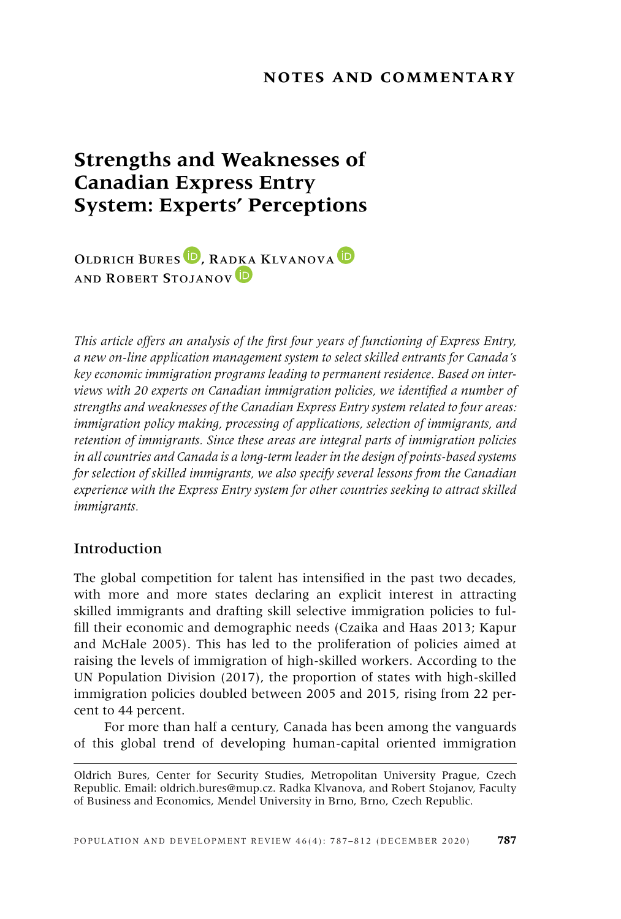## **NOTES AND COMMENTARY**

# **Strengths and Weaknesses of Canadian Express Entry System: Experts' Perceptions**

OLDRICH BURES<sup>D</sup>[,](https://orcid.org/0000-0003-0714-1036) RA[DKA](https://orcid.org/0000-0002-0471-7055) KLVANOVA<sup>D</sup> AND ROBERT STOJANOV<sup>ID</sup>

*This article offers an analysis of the first four years of functioning of Express Entry, a new on-line application management system to select skilled entrants for Canada's key economic immigration programs leading to permanent residence. Based on interviews with 20 experts on Canadian immigration policies, we identified a number of strengths and weaknesses of the Canadian Express Entry system related to four areas: immigration policy making, processing of applications, selection of immigrants, and retention of immigrants. Since these areas are integral parts of immigration policies in all countries and Canada is a long-term leader in the design of points-based systems for selection of skilled immigrants, we also specify several lessons from the Canadian experience with the Express Entry system for other countries seeking to attract skilled immigrants.*

## Introduction

The global competition for talent has intensified in the past two decades, with more and more states declaring an explicit interest in attracting skilled immigrants and drafting skill selective immigration policies to fulfill their economic and demographic needs (Czaika and Haas 2013; Kapur and McHale 2005). This has led to the proliferation of policies aimed at raising the levels of immigration of high-skilled workers. According to the UN Population Division (2017), the proportion of states with high-skilled immigration policies doubled between 2005 and 2015, rising from 22 percent to 44 percent.

For more than half a century, Canada has been among the vanguards of this global trend of developing human-capital oriented immigration

Oldrich Bures, Center for Security Studies, Metropolitan University Prague, Czech Republic. Email: oldrich.bures@mup.cz. Radka Klvanova, and Robert Stojanov, Faculty of Business and Economics, Mendel University in Brno, Brno, Czech Republic.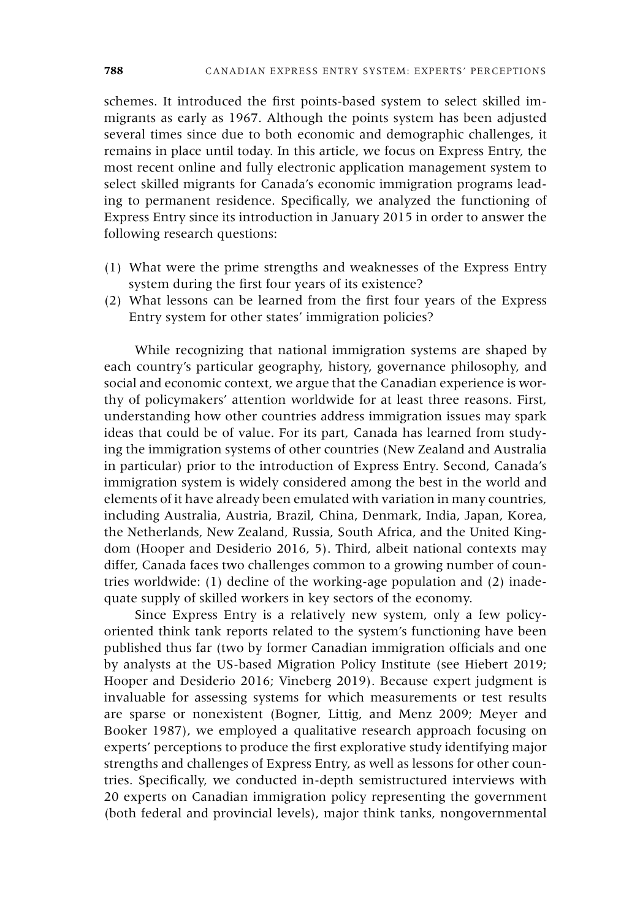schemes. It introduced the first points-based system to select skilled immigrants as early as 1967. Although the points system has been adjusted several times since due to both economic and demographic challenges, it remains in place until today. In this article, we focus on Express Entry, the most recent online and fully electronic application management system to select skilled migrants for Canada's economic immigration programs leading to permanent residence. Specifically, we analyzed the functioning of Express Entry since its introduction in January 2015 in order to answer the following research questions:

- (1) What were the prime strengths and weaknesses of the Express Entry system during the first four years of its existence?
- (2) What lessons can be learned from the first four years of the Express Entry system for other states' immigration policies?

While recognizing that national immigration systems are shaped by each country's particular geography, history, governance philosophy, and social and economic context, we argue that the Canadian experience is worthy of policymakers' attention worldwide for at least three reasons. First, understanding how other countries address immigration issues may spark ideas that could be of value. For its part, Canada has learned from studying the immigration systems of other countries (New Zealand and Australia in particular) prior to the introduction of Express Entry. Second, Canada's immigration system is widely considered among the best in the world and elements of it have already been emulated with variation in many countries, including Australia, Austria, Brazil, China, Denmark, India, Japan, Korea, the Netherlands, New Zealand, Russia, South Africa, and the United Kingdom (Hooper and Desiderio 2016, 5). Third, albeit national contexts may differ, Canada faces two challenges common to a growing number of countries worldwide: (1) decline of the working-age population and (2) inadequate supply of skilled workers in key sectors of the economy.

Since Express Entry is a relatively new system, only a few policyoriented think tank reports related to the system's functioning have been published thus far (two by former Canadian immigration officials and one by analysts at the US-based Migration Policy Institute (see Hiebert 2019; Hooper and Desiderio 2016; Vineberg 2019). Because expert judgment is invaluable for assessing systems for which measurements or test results are sparse or nonexistent (Bogner, Littig, and Menz 2009; Meyer and Booker 1987), we employed a qualitative research approach focusing on experts' perceptions to produce the first explorative study identifying major strengths and challenges of Express Entry, as well as lessons for other countries. Specifically, we conducted in-depth semistructured interviews with 20 experts on Canadian immigration policy representing the government (both federal and provincial levels), major think tanks, nongovernmental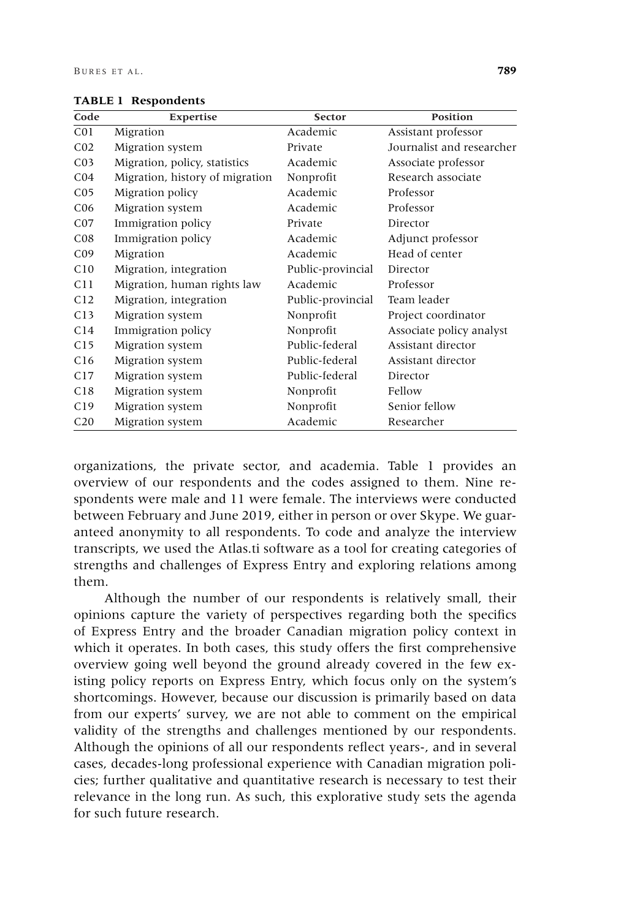| Code            | Expertise                       | <b>Sector</b>     | <b>Position</b>           |
|-----------------|---------------------------------|-------------------|---------------------------|
| C <sub>01</sub> | Migration                       | Academic          | Assistant professor       |
| CO <sub>2</sub> | Migration system                | Private           | Journalist and researcher |
| CO <sub>3</sub> | Migration, policy, statistics   | Academic          | Associate professor       |
| CO <sub>4</sub> | Migration, history of migration | Nonprofit         | Research associate        |
| CO <sub>5</sub> | Migration policy                | Academic          | Professor                 |
| C <sub>06</sub> | Migration system                | Academic          | Professor                 |
| CO7             | Immigration policy              | Private           | Director                  |
| C <sub>08</sub> | Immigration policy              | Academic          | Adjunct professor         |
| C <sub>09</sub> | Migration                       | Academic          | Head of center            |
| C10             | Migration, integration          | Public-provincial | Director                  |
| C11             | Migration, human rights law     | Academic          | Professor                 |
| C12             | Migration, integration          | Public-provincial | Team leader               |
| C13             | Migration system                | Nonprofit         | Project coordinator       |
| C14             | Immigration policy              | Nonprofit         | Associate policy analyst  |
| C15             | Migration system                | Public-federal    | Assistant director        |
| C16             | Migration system                | Public-federal    | Assistant director        |
| C17             | Migration system                | Public-federal    | Director                  |
| C18             | Migration system                | Nonprofit         | Fellow                    |
| C19             | Migration system                | Nonprofit         | Senior fellow             |
| C <sub>20</sub> | Migration system                | Academic          | Researcher                |

**TABLE 1 Respondents**

organizations, the private sector, and academia. Table 1 provides an overview of our respondents and the codes assigned to them. Nine respondents were male and 11 were female. The interviews were conducted between February and June 2019, either in person or over Skype. We guaranteed anonymity to all respondents. To code and analyze the interview transcripts, we used the Atlas.ti software as a tool for creating categories of strengths and challenges of Express Entry and exploring relations among them.

Although the number of our respondents is relatively small, their opinions capture the variety of perspectives regarding both the specifics of Express Entry and the broader Canadian migration policy context in which it operates. In both cases, this study offers the first comprehensive overview going well beyond the ground already covered in the few existing policy reports on Express Entry, which focus only on the system's shortcomings. However, because our discussion is primarily based on data from our experts' survey, we are not able to comment on the empirical validity of the strengths and challenges mentioned by our respondents. Although the opinions of all our respondents reflect years-, and in several cases, decades-long professional experience with Canadian migration policies; further qualitative and quantitative research is necessary to test their relevance in the long run. As such, this explorative study sets the agenda for such future research.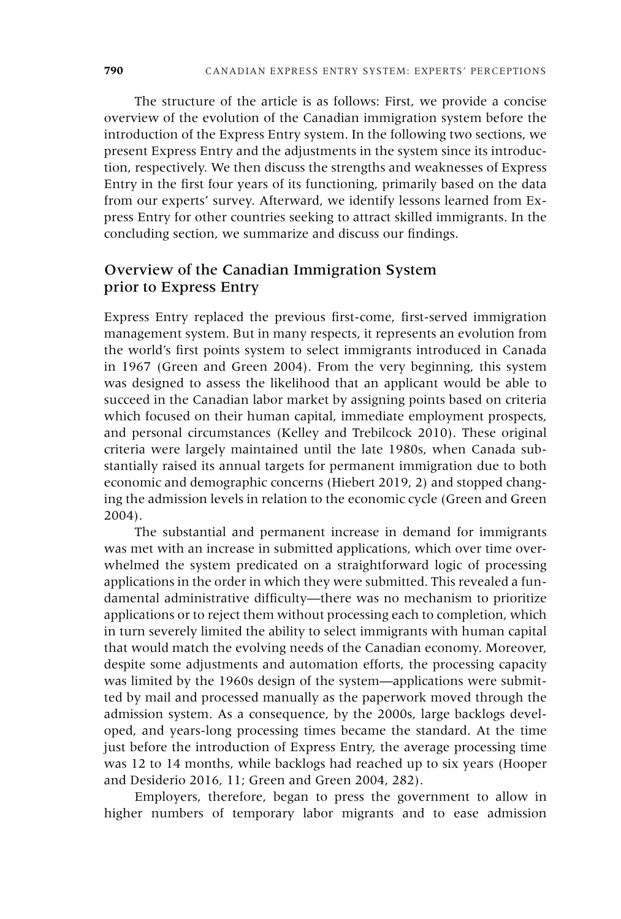The structure of the article is as follows: First, we provide a concise overview of the evolution of the Canadian immigration system before the introduction of the Express Entry system. In the following two sections, we present Express Entry and the adjustments in the system since its introduction, respectively. We then discuss the strengths and weaknesses of Express Entry in the first four years of its functioning, primarily based on the data from our experts' survey. Afterward, we identify lessons learned from Express Entry for other countries seeking to attract skilled immigrants. In the concluding section, we summarize and discuss our findings.

# Overview of the Canadian Immigration System prior to Express Entry

Express Entry replaced the previous first-come, first-served immigration management system. But in many respects, it represents an evolution from the world's first points system to select immigrants introduced in Canada in 1967 (Green and Green 2004). From the very beginning, this system was designed to assess the likelihood that an applicant would be able to succeed in the Canadian labor market by assigning points based on criteria which focused on their human capital, immediate employment prospects, and personal circumstances (Kelley and Trebilcock 2010). These original criteria were largely maintained until the late 1980s, when Canada substantially raised its annual targets for permanent immigration due to both economic and demographic concerns (Hiebert 2019, 2) and stopped changing the admission levels in relation to the economic cycle (Green and Green 2004).

The substantial and permanent increase in demand for immigrants was met with an increase in submitted applications, which over time overwhelmed the system predicated on a straightforward logic of processing applications in the order in which they were submitted. This revealed a fundamental administrative difficulty—there was no mechanism to prioritize applications or to reject them without processing each to completion, which in turn severely limited the ability to select immigrants with human capital that would match the evolving needs of the Canadian economy. Moreover, despite some adjustments and automation efforts, the processing capacity was limited by the 1960s design of the system—applications were submitted by mail and processed manually as the paperwork moved through the admission system. As a consequence, by the 2000s, large backlogs developed, and years-long processing times became the standard. At the time just before the introduction of Express Entry, the average processing time was 12 to 14 months, while backlogs had reached up to six years (Hooper and Desiderio 2016, 11; Green and Green 2004, 282).

Employers, therefore, began to press the government to allow in higher numbers of temporary labor migrants and to ease admission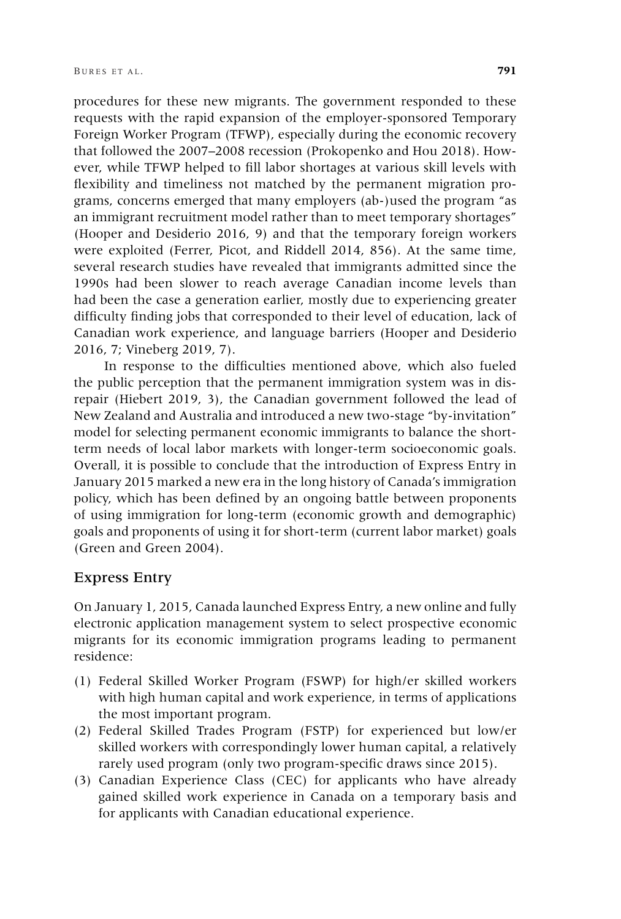procedures for these new migrants. The government responded to these requests with the rapid expansion of the employer-sponsored Temporary Foreign Worker Program (TFWP), especially during the economic recovery that followed the 2007–2008 recession (Prokopenko and Hou 2018). However, while TFWP helped to fill labor shortages at various skill levels with flexibility and timeliness not matched by the permanent migration programs, concerns emerged that many employers (ab-)used the program "as an immigrant recruitment model rather than to meet temporary shortages" (Hooper and Desiderio 2016, 9) and that the temporary foreign workers were exploited (Ferrer, Picot, and Riddell 2014, 856). At the same time, several research studies have revealed that immigrants admitted since the 1990s had been slower to reach average Canadian income levels than had been the case a generation earlier, mostly due to experiencing greater difficulty finding jobs that corresponded to their level of education, lack of Canadian work experience, and language barriers (Hooper and Desiderio 2016, 7; Vineberg 2019, 7).

In response to the difficulties mentioned above, which also fueled the public perception that the permanent immigration system was in disrepair (Hiebert 2019, 3), the Canadian government followed the lead of New Zealand and Australia and introduced a new two-stage "by-invitation" model for selecting permanent economic immigrants to balance the shortterm needs of local labor markets with longer-term socioeconomic goals. Overall, it is possible to conclude that the introduction of Express Entry in January 2015 marked a new era in the long history of Canada's immigration policy, which has been defined by an ongoing battle between proponents of using immigration for long-term (economic growth and demographic) goals and proponents of using it for short-term (current labor market) goals (Green and Green 2004).

## Express Entry

On January 1, 2015, Canada launched Express Entry, a new online and fully electronic application management system to select prospective economic migrants for its economic immigration programs leading to permanent residence:

- (1) Federal Skilled Worker Program (FSWP) for high/er skilled workers with high human capital and work experience, in terms of applications the most important program.
- (2) Federal Skilled Trades Program (FSTP) for experienced but low/er skilled workers with correspondingly lower human capital, a relatively rarely used program (only two program-specific draws since 2015).
- (3) Canadian Experience Class (CEC) for applicants who have already gained skilled work experience in Canada on a temporary basis and for applicants with Canadian educational experience.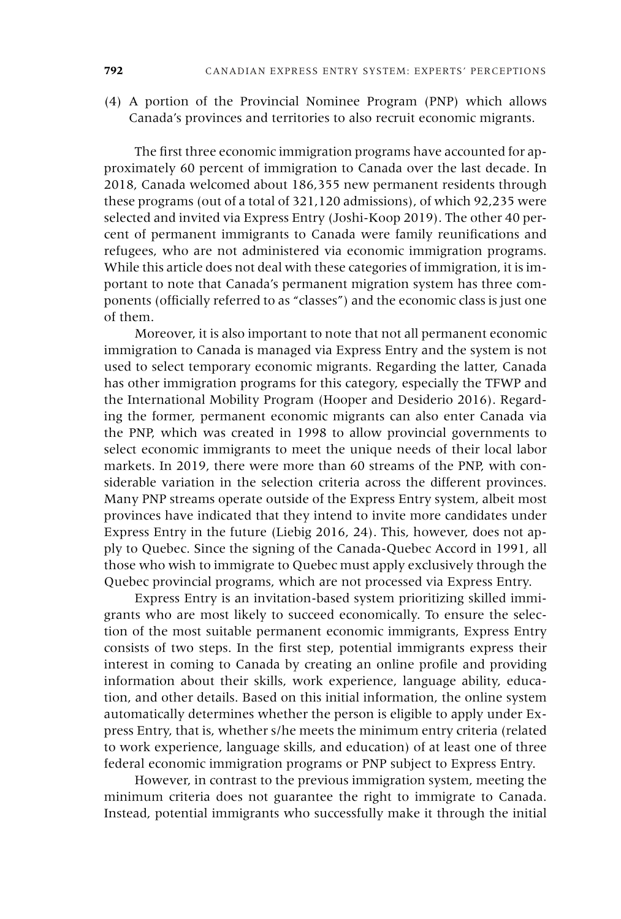(4) A portion of the Provincial Nominee Program (PNP) which allows Canada's provinces and territories to also recruit economic migrants.

The first three economic immigration programs have accounted for approximately 60 percent of immigration to Canada over the last decade. In 2018, Canada welcomed about 186,355 new permanent residents through these programs (out of a total of 321,120 admissions), of which 92,235 were selected and invited via Express Entry (Joshi-Koop 2019). The other 40 percent of permanent immigrants to Canada were family reunifications and refugees, who are not administered via economic immigration programs. While this article does not deal with these categories of immigration, it is important to note that Canada's permanent migration system has three components (officially referred to as "classes") and the economic class is just one of them.

Moreover, it is also important to note that not all permanent economic immigration to Canada is managed via Express Entry and the system is not used to select temporary economic migrants. Regarding the latter, Canada has other immigration programs for this category, especially the TFWP and the International Mobility Program (Hooper and Desiderio 2016). Regarding the former, permanent economic migrants can also enter Canada via the PNP, which was created in 1998 to allow provincial governments to select economic immigrants to meet the unique needs of their local labor markets. In 2019, there were more than 60 streams of the PNP, with considerable variation in the selection criteria across the different provinces. Many PNP streams operate outside of the Express Entry system, albeit most provinces have indicated that they intend to invite more candidates under Express Entry in the future (Liebig 2016, 24). This, however, does not apply to Quebec. Since the signing of the Canada-Quebec Accord in 1991, all those who wish to immigrate to Quebec must apply exclusively through the Quebec provincial programs, which are not processed via Express Entry.

Express Entry is an invitation-based system prioritizing skilled immigrants who are most likely to succeed economically. To ensure the selection of the most suitable permanent economic immigrants, Express Entry consists of two steps. In the first step, potential immigrants express their interest in coming to Canada by creating an online profile and providing information about their skills, work experience, language ability, education, and other details. Based on this initial information, the online system automatically determines whether the person is eligible to apply under Express Entry, that is, whether s/he meets the minimum entry criteria (related to work experience, language skills, and education) of at least one of three federal economic immigration programs or PNP subject to Express Entry.

However, in contrast to the previous immigration system, meeting the minimum criteria does not guarantee the right to immigrate to Canada. Instead, potential immigrants who successfully make it through the initial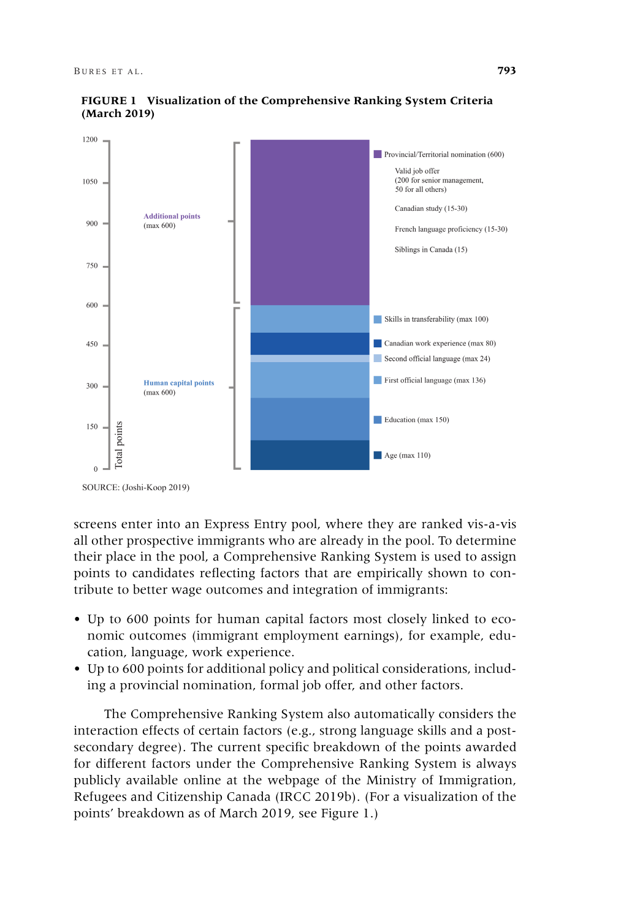



SOURCE: (Joshi-Koop 2019)

screens enter into an Express Entry pool, where they are ranked vis-a-vis all other prospective immigrants who are already in the pool. To determine their place in the pool, a Comprehensive Ranking System is used to assign points to candidates reflecting factors that are empirically shown to contribute to better wage outcomes and integration of immigrants:

- Up to 600 points for human capital factors most closely linked to economic outcomes (immigrant employment earnings), for example, education, language, work experience.
- Up to 600 points for additional policy and political considerations, including a provincial nomination, formal job offer, and other factors.

The Comprehensive Ranking System also automatically considers the interaction effects of certain factors (e.g., strong language skills and a postsecondary degree). The current specific breakdown of the points awarded for different factors under the Comprehensive Ranking System is always publicly available online at the webpage of the Ministry of Immigration, Refugees and Citizenship Canada (IRCC 2019b). (For a visualization of the points' breakdown as of March 2019, see Figure 1.)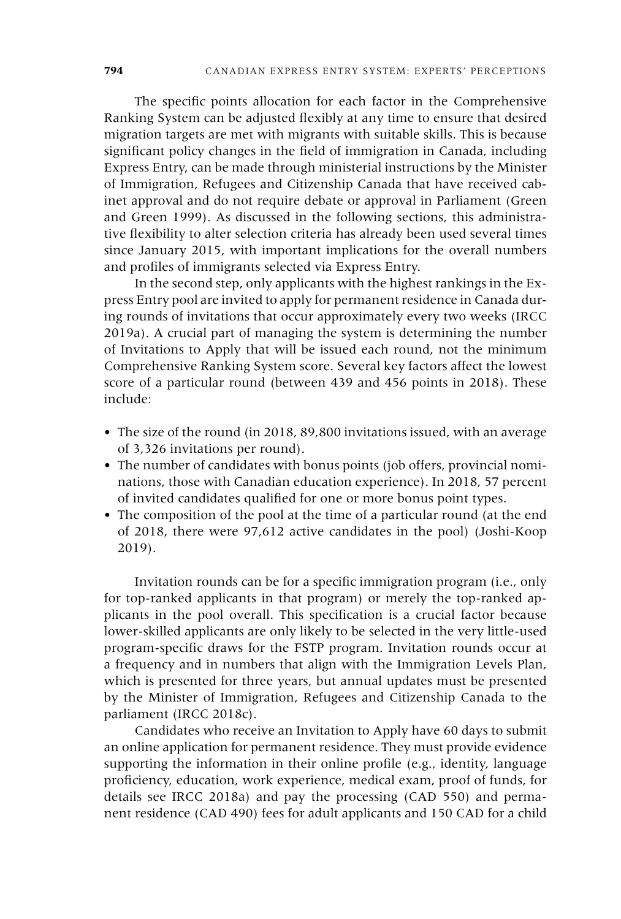The specific points allocation for each factor in the Comprehensive Ranking System can be adjusted flexibly at any time to ensure that desired migration targets are met with migrants with suitable skills. This is because significant policy changes in the field of immigration in Canada, including Express Entry, can be made through ministerial instructions by the Minister of Immigration, Refugees and Citizenship Canada that have received cabinet approval and do not require debate or approval in Parliament (Green and Green 1999). As discussed in the following sections, this administrative flexibility to alter selection criteria has already been used several times since January 2015, with important implications for the overall numbers and profiles of immigrants selected via Express Entry.

In the second step, only applicants with the highest rankings in the Express Entry pool are invited to apply for permanent residence in Canada during rounds of invitations that occur approximately every two weeks (IRCC 2019a). A crucial part of managing the system is determining the number of Invitations to Apply that will be issued each round, not the minimum Comprehensive Ranking System score. Several key factors affect the lowest score of a particular round (between 439 and 456 points in 2018). These include:

- The size of the round (in 2018, 89,800 invitations issued, with an average of 3,326 invitations per round).
- The number of candidates with bonus points (job offers, provincial nominations, those with Canadian education experience). In 2018, 57 percent of invited candidates qualified for one or more bonus point types.
- The composition of the pool at the time of a particular round (at the end of 2018, there were 97,612 active candidates in the pool) (Joshi-Koop 2019).

Invitation rounds can be for a specific immigration program (i.e., only for top-ranked applicants in that program) or merely the top-ranked applicants in the pool overall. This specification is a crucial factor because lower-skilled applicants are only likely to be selected in the very little-used program-specific draws for the FSTP program. Invitation rounds occur at a frequency and in numbers that align with the Immigration Levels Plan, which is presented for three years, but annual updates must be presented by the Minister of Immigration, Refugees and Citizenship Canada to the parliament (IRCC 2018c).

Candidates who receive an Invitation to Apply have 60 days to submit an online application for permanent residence. They must provide evidence supporting the information in their online profile (e.g., identity, language proficiency, education, work experience, medical exam, proof of funds, for details see IRCC 2018a) and pay the processing (CAD 550) and permanent residence (CAD 490) fees for adult applicants and 150 CAD for a child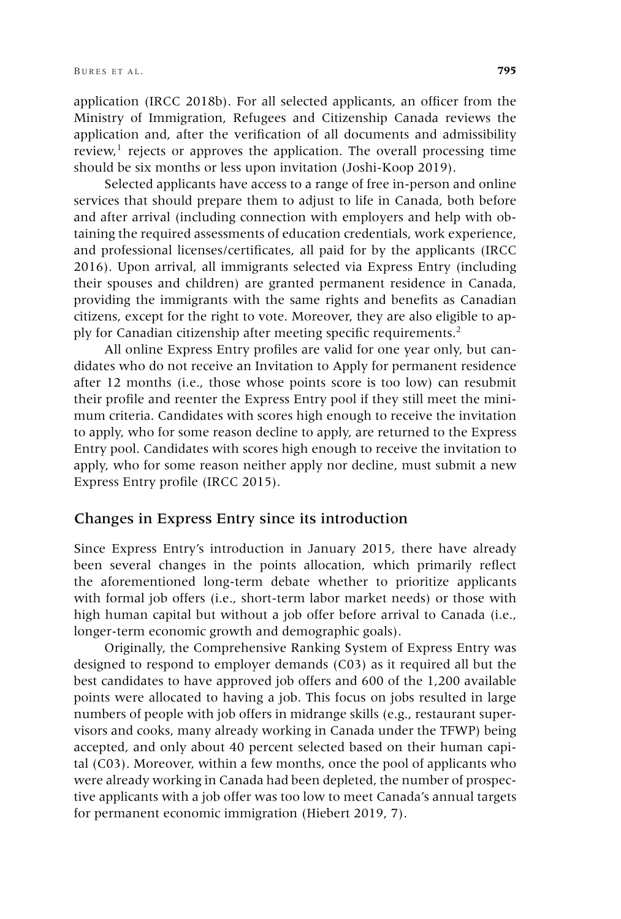application (IRCC 2018b). For all selected applicants, an officer from the Ministry of Immigration, Refugees and Citizenship Canada reviews the application and, after the verification of all documents and admissibility review, $1$  rejects or approves the application. The overall processing time should be six months or less upon invitation (Joshi-Koop 2019).

Selected applicants have access to a range of free in-person and online services that should prepare them to adjust to life in Canada, both before and after arrival (including connection with employers and help with obtaining the required assessments of education credentials, work experience, and professional licenses/certificates, all paid for by the applicants (IRCC 2016). Upon arrival, all immigrants selected via Express Entry (including their spouses and children) are granted permanent residence in Canada, providing the immigrants with the same rights and benefits as Canadian citizens, except for the right to vote. Moreover, they are also eligible to apply for Canadian citizenship after meeting specific requirements.<sup>2</sup>

All online Express Entry profiles are valid for one year only, but candidates who do not receive an Invitation to Apply for permanent residence after 12 months (i.e., those whose points score is too low) can resubmit their profile and reenter the Express Entry pool if they still meet the minimum criteria. Candidates with scores high enough to receive the invitation to apply, who for some reason decline to apply, are returned to the Express Entry pool. Candidates with scores high enough to receive the invitation to apply, who for some reason neither apply nor decline, must submit a new Express Entry profile (IRCC 2015).

#### Changes in Express Entry since its introduction

Since Express Entry's introduction in January 2015, there have already been several changes in the points allocation, which primarily reflect the aforementioned long-term debate whether to prioritize applicants with formal job offers (i.e., short-term labor market needs) or those with high human capital but without a job offer before arrival to Canada (i.e., longer-term economic growth and demographic goals).

Originally, the Comprehensive Ranking System of Express Entry was designed to respond to employer demands (C03) as it required all but the best candidates to have approved job offers and 600 of the 1,200 available points were allocated to having a job. This focus on jobs resulted in large numbers of people with job offers in midrange skills (e.g., restaurant supervisors and cooks, many already working in Canada under the TFWP) being accepted, and only about 40 percent selected based on their human capital (C03). Moreover, within a few months, once the pool of applicants who were already working in Canada had been depleted, the number of prospective applicants with a job offer was too low to meet Canada's annual targets for permanent economic immigration (Hiebert 2019, 7).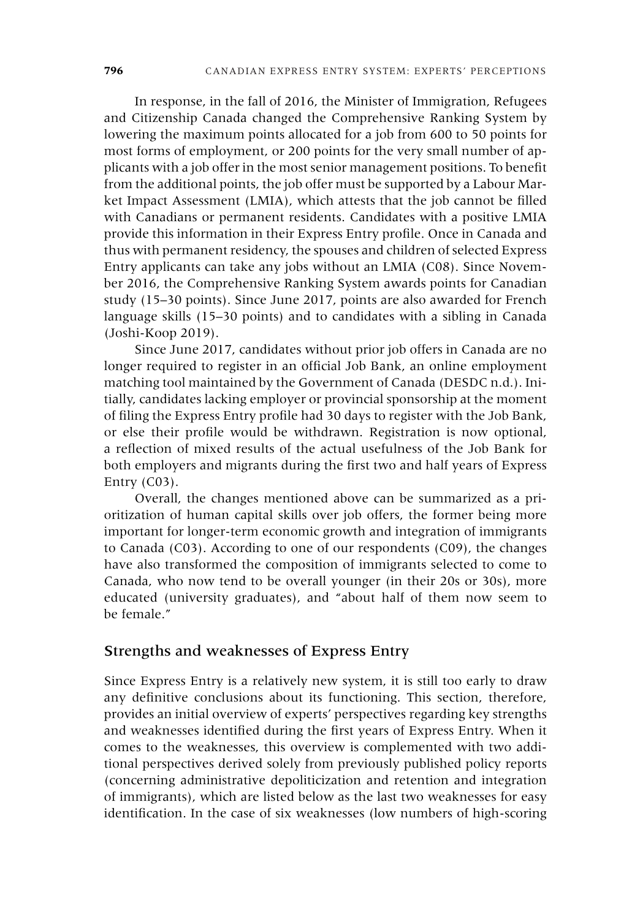In response, in the fall of 2016, the Minister of Immigration, Refugees and Citizenship Canada changed the Comprehensive Ranking System by lowering the maximum points allocated for a job from 600 to 50 points for most forms of employment, or 200 points for the very small number of applicants with a job offer in the most senior management positions. To benefit from the additional points, the job offer must be supported by a Labour Market Impact Assessment (LMIA), which attests that the job cannot be filled with Canadians or permanent residents. Candidates with a positive LMIA provide this information in their Express Entry profile. Once in Canada and thus with permanent residency, the spouses and children of selected Express Entry applicants can take any jobs without an LMIA (C08). Since November 2016, the Comprehensive Ranking System awards points for Canadian study (15–30 points). Since June 2017, points are also awarded for French language skills (15–30 points) and to candidates with a sibling in Canada (Joshi-Koop 2019).

Since June 2017, candidates without prior job offers in Canada are no longer required to register in an official Job Bank, an online employment matching tool maintained by the Government of Canada (DESDC n.d.). Initially, candidates lacking employer or provincial sponsorship at the moment of filing the Express Entry profile had 30 days to register with the Job Bank, or else their profile would be withdrawn. Registration is now optional, a reflection of mixed results of the actual usefulness of the Job Bank for both employers and migrants during the first two and half years of Express Entry  $(C03)$ .

Overall, the changes mentioned above can be summarized as a prioritization of human capital skills over job offers, the former being more important for longer-term economic growth and integration of immigrants to Canada (C03). According to one of our respondents (C09), the changes have also transformed the composition of immigrants selected to come to Canada, who now tend to be overall younger (in their 20s or 30s), more educated (university graduates), and "about half of them now seem to be female."

# Strengths and weaknesses of Express Entry

Since Express Entry is a relatively new system, it is still too early to draw any definitive conclusions about its functioning. This section, therefore, provides an initial overview of experts' perspectives regarding key strengths and weaknesses identified during the first years of Express Entry. When it comes to the weaknesses, this overview is complemented with two additional perspectives derived solely from previously published policy reports (concerning administrative depoliticization and retention and integration of immigrants), which are listed below as the last two weaknesses for easy identification. In the case of six weaknesses (low numbers of high-scoring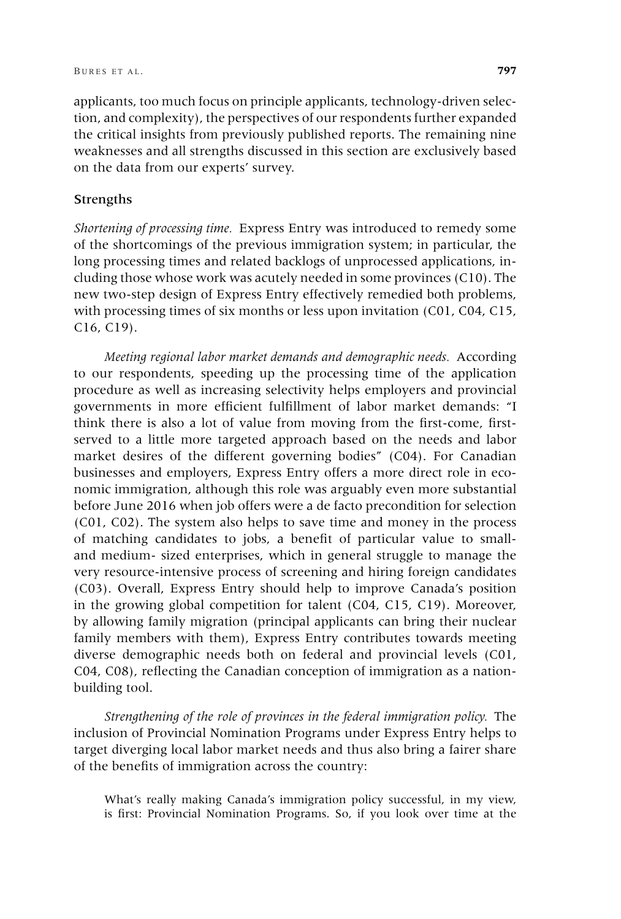applicants, too much focus on principle applicants, technology-driven selection, and complexity), the perspectives of our respondents further expanded the critical insights from previously published reports. The remaining nine weaknesses and all strengths discussed in this section are exclusively based on the data from our experts' survey.

#### Strengths

*Shortening of processing time.* Express Entry was introduced to remedy some of the shortcomings of the previous immigration system; in particular, the long processing times and related backlogs of unprocessed applications, including those whose work was acutely needed in some provinces (C10). The new two-step design of Express Entry effectively remedied both problems, with processing times of six months or less upon invitation (C01, C04, C15, C16, C19).

*Meeting regional labor market demands and demographic needs.* According to our respondents, speeding up the processing time of the application procedure as well as increasing selectivity helps employers and provincial governments in more efficient fulfillment of labor market demands: "I think there is also a lot of value from moving from the first-come, firstserved to a little more targeted approach based on the needs and labor market desires of the different governing bodies" (C04). For Canadian businesses and employers, Express Entry offers a more direct role in economic immigration, although this role was arguably even more substantial before June 2016 when job offers were a de facto precondition for selection (C01, C02). The system also helps to save time and money in the process of matching candidates to jobs, a benefit of particular value to smalland medium- sized enterprises, which in general struggle to manage the very resource-intensive process of screening and hiring foreign candidates (C03). Overall, Express Entry should help to improve Canada's position in the growing global competition for talent (C04, C15, C19). Moreover, by allowing family migration (principal applicants can bring their nuclear family members with them), Express Entry contributes towards meeting diverse demographic needs both on federal and provincial levels (C01, C04, C08), reflecting the Canadian conception of immigration as a nationbuilding tool.

*Strengthening of the role of provinces in the federal immigration policy.* The inclusion of Provincial Nomination Programs under Express Entry helps to target diverging local labor market needs and thus also bring a fairer share of the benefits of immigration across the country:

What's really making Canada's immigration policy successful, in my view, is first: Provincial Nomination Programs. So, if you look over time at the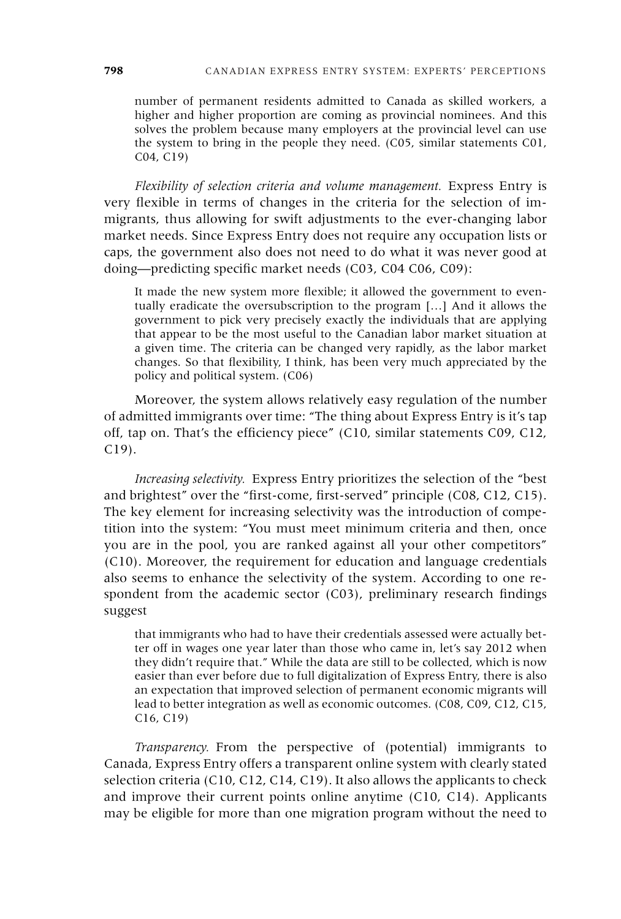number of permanent residents admitted to Canada as skilled workers, a higher and higher proportion are coming as provincial nominees. And this solves the problem because many employers at the provincial level can use the system to bring in the people they need. (C05, similar statements C01, C04, C19)

*Flexibility of selection criteria and volume management.* Express Entry is very flexible in terms of changes in the criteria for the selection of immigrants, thus allowing for swift adjustments to the ever-changing labor market needs. Since Express Entry does not require any occupation lists or caps, the government also does not need to do what it was never good at doing—predicting specific market needs (C03, C04 C06, C09):

It made the new system more flexible; it allowed the government to eventually eradicate the oversubscription to the program […] And it allows the government to pick very precisely exactly the individuals that are applying that appear to be the most useful to the Canadian labor market situation at a given time. The criteria can be changed very rapidly, as the labor market changes. So that flexibility, I think, has been very much appreciated by the policy and political system. (C06)

Moreover, the system allows relatively easy regulation of the number of admitted immigrants over time: "The thing about Express Entry is it's tap off, tap on. That's the efficiency piece" (C10, similar statements C09, C12, C19).

*Increasing selectivity.* Express Entry prioritizes the selection of the "best and brightest" over the "first-come, first-served" principle (C08, C12, C15). The key element for increasing selectivity was the introduction of competition into the system: "You must meet minimum criteria and then, once you are in the pool, you are ranked against all your other competitors" (C10). Moreover, the requirement for education and language credentials also seems to enhance the selectivity of the system. According to one respondent from the academic sector (C03), preliminary research findings suggest

that immigrants who had to have their credentials assessed were actually better off in wages one year later than those who came in, let's say 2012 when they didn't require that." While the data are still to be collected, which is now easier than ever before due to full digitalization of Express Entry, there is also an expectation that improved selection of permanent economic migrants will lead to better integration as well as economic outcomes. (C08, C09, C12, C15, C16, C19)

*Transparency.* From the perspective of (potential) immigrants to Canada, Express Entry offers a transparent online system with clearly stated selection criteria (C10, C12, C14, C19). It also allows the applicants to check and improve their current points online anytime (C10, C14). Applicants may be eligible for more than one migration program without the need to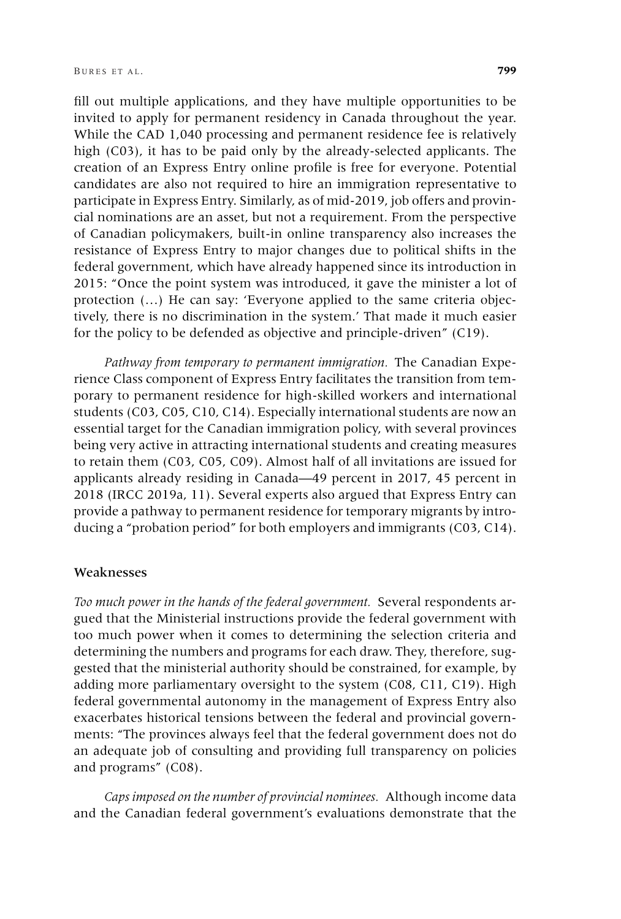fill out multiple applications, and they have multiple opportunities to be invited to apply for permanent residency in Canada throughout the year. While the CAD 1,040 processing and permanent residence fee is relatively high (C03), it has to be paid only by the already-selected applicants. The creation of an Express Entry online profile is free for everyone. Potential candidates are also not required to hire an immigration representative to participate in Express Entry. Similarly, as of mid-2019, job offers and provincial nominations are an asset, but not a requirement. From the perspective of Canadian policymakers, built-in online transparency also increases the resistance of Express Entry to major changes due to political shifts in the federal government, which have already happened since its introduction in 2015: "Once the point system was introduced, it gave the minister a lot of protection (…) He can say: 'Everyone applied to the same criteria objectively, there is no discrimination in the system.' That made it much easier for the policy to be defended as objective and principle-driven" (C19).

*Pathway from temporary to permanent immigration.* The Canadian Experience Class component of Express Entry facilitates the transition from temporary to permanent residence for high-skilled workers and international students (C03, C05, C10, C14). Especially international students are now an essential target for the Canadian immigration policy, with several provinces being very active in attracting international students and creating measures to retain them (C03, C05, C09). Almost half of all invitations are issued for applicants already residing in Canada—49 percent in 2017, 45 percent in 2018 (IRCC 2019a, 11). Several experts also argued that Express Entry can provide a pathway to permanent residence for temporary migrants by introducing a "probation period" for both employers and immigrants (C03, C14).

#### Weaknesses

*Too much power in the hands of the federal government.* Several respondents argued that the Ministerial instructions provide the federal government with too much power when it comes to determining the selection criteria and determining the numbers and programs for each draw. They, therefore, suggested that the ministerial authority should be constrained, for example, by adding more parliamentary oversight to the system (C08, C11, C19). High federal governmental autonomy in the management of Express Entry also exacerbates historical tensions between the federal and provincial governments: "The provinces always feel that the federal government does not do an adequate job of consulting and providing full transparency on policies and programs" (C08).

*Caps imposed on the number of provincial nominees.* Although income data and the Canadian federal government's evaluations demonstrate that the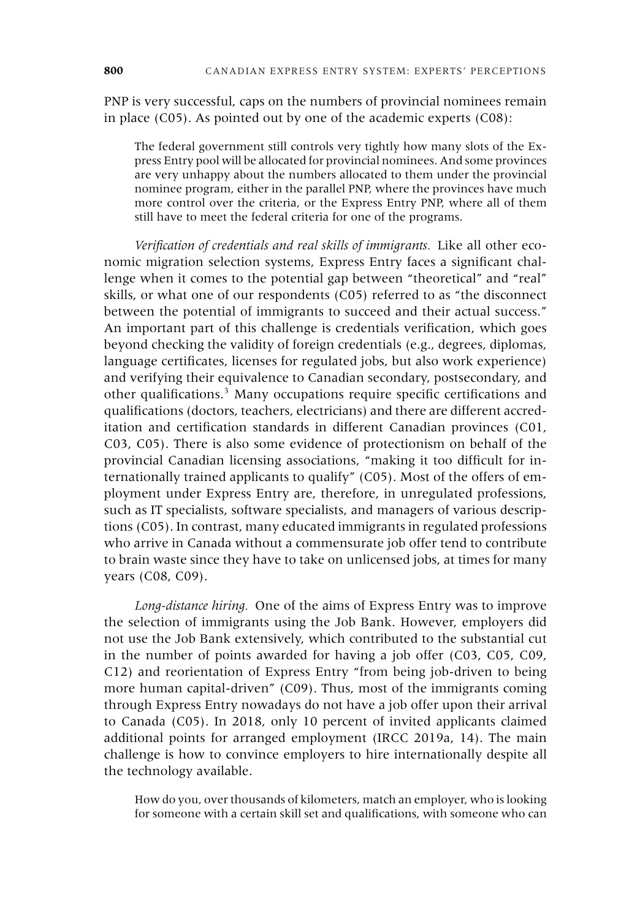PNP is very successful, caps on the numbers of provincial nominees remain in place (C05). As pointed out by one of the academic experts (C08):

The federal government still controls very tightly how many slots of the Express Entry pool will be allocated for provincial nominees. And some provinces are very unhappy about the numbers allocated to them under the provincial nominee program, either in the parallel PNP, where the provinces have much more control over the criteria, or the Express Entry PNP, where all of them still have to meet the federal criteria for one of the programs.

*Verification of credentials and real skills of immigrants.* Like all other economic migration selection systems, Express Entry faces a significant challenge when it comes to the potential gap between "theoretical" and "real" skills, or what one of our respondents (C05) referred to as "the disconnect between the potential of immigrants to succeed and their actual success." An important part of this challenge is credentials verification, which goes beyond checking the validity of foreign credentials (e.g., degrees, diplomas, language certificates, licenses for regulated jobs, but also work experience) and verifying their equivalence to Canadian secondary, postsecondary, and other qualifications.<sup>3</sup> Many occupations require specific certifications and qualifications (doctors, teachers, electricians) and there are different accreditation and certification standards in different Canadian provinces (C01, C03, C05). There is also some evidence of protectionism on behalf of the provincial Canadian licensing associations, "making it too difficult for internationally trained applicants to qualify" (C05). Most of the offers of employment under Express Entry are, therefore, in unregulated professions, such as IT specialists, software specialists, and managers of various descriptions (C05). In contrast, many educated immigrants in regulated professions who arrive in Canada without a commensurate job offer tend to contribute to brain waste since they have to take on unlicensed jobs, at times for many years (C08, C09).

*Long-distance hiring.* One of the aims of Express Entry was to improve the selection of immigrants using the Job Bank. However, employers did not use the Job Bank extensively, which contributed to the substantial cut in the number of points awarded for having a job offer (C03, C05, C09, C12) and reorientation of Express Entry "from being job-driven to being more human capital-driven" (C09). Thus, most of the immigrants coming through Express Entry nowadays do not have a job offer upon their arrival to Canada (C05). In 2018, only 10 percent of invited applicants claimed additional points for arranged employment (IRCC 2019a, 14). The main challenge is how to convince employers to hire internationally despite all the technology available.

How do you, over thousands of kilometers, match an employer, who is looking for someone with a certain skill set and qualifications, with someone who can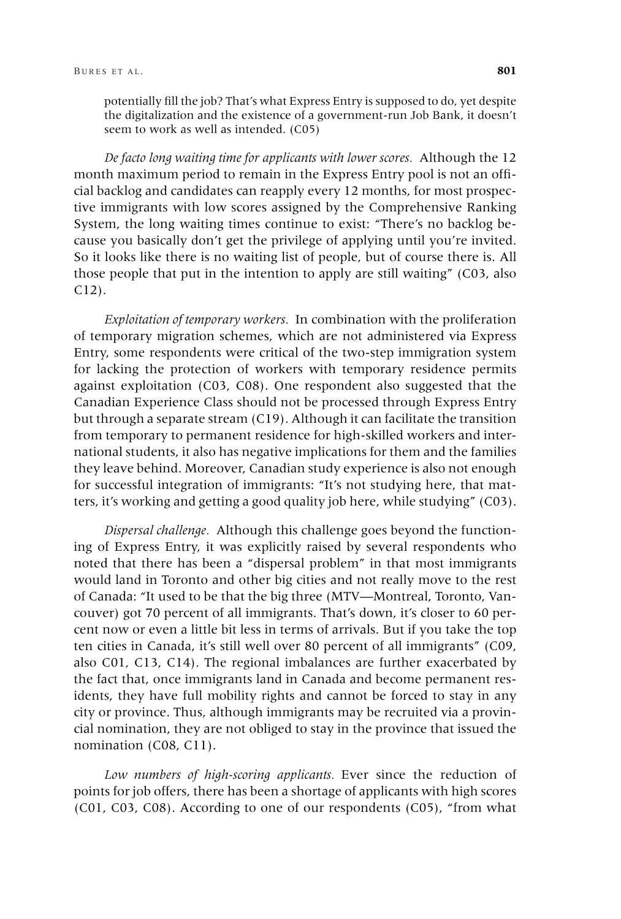potentially fill the job? That's what Express Entry is supposed to do, yet despite the digitalization and the existence of a government-run Job Bank, it doesn't seem to work as well as intended. (C05)

*De facto long waiting time for applicants with lower scores.* Although the 12 month maximum period to remain in the Express Entry pool is not an official backlog and candidates can reapply every 12 months, for most prospective immigrants with low scores assigned by the Comprehensive Ranking System, the long waiting times continue to exist: "There's no backlog because you basically don't get the privilege of applying until you're invited. So it looks like there is no waiting list of people, but of course there is. All those people that put in the intention to apply are still waiting" (C03, also C12).

*Exploitation of temporary workers.* In combination with the proliferation of temporary migration schemes, which are not administered via Express Entry, some respondents were critical of the two-step immigration system for lacking the protection of workers with temporary residence permits against exploitation (C03, C08). One respondent also suggested that the Canadian Experience Class should not be processed through Express Entry but through a separate stream (C19). Although it can facilitate the transition from temporary to permanent residence for high-skilled workers and international students, it also has negative implications for them and the families they leave behind. Moreover, Canadian study experience is also not enough for successful integration of immigrants: "It's not studying here, that matters, it's working and getting a good quality job here, while studying" (C03).

*Dispersal challenge.* Although this challenge goes beyond the functioning of Express Entry, it was explicitly raised by several respondents who noted that there has been a "dispersal problem" in that most immigrants would land in Toronto and other big cities and not really move to the rest of Canada: "It used to be that the big three (MTV—Montreal, Toronto, Vancouver) got 70 percent of all immigrants. That's down, it's closer to 60 percent now or even a little bit less in terms of arrivals. But if you take the top ten cities in Canada, it's still well over 80 percent of all immigrants" (C09, also C01, C13, C14). The regional imbalances are further exacerbated by the fact that, once immigrants land in Canada and become permanent residents, they have full mobility rights and cannot be forced to stay in any city or province. Thus, although immigrants may be recruited via a provincial nomination, they are not obliged to stay in the province that issued the nomination (C08, C11).

*Low numbers of high-scoring applicants.* Ever since the reduction of points for job offers, there has been a shortage of applicants with high scores (C01, C03, C08). According to one of our respondents (C05), "from what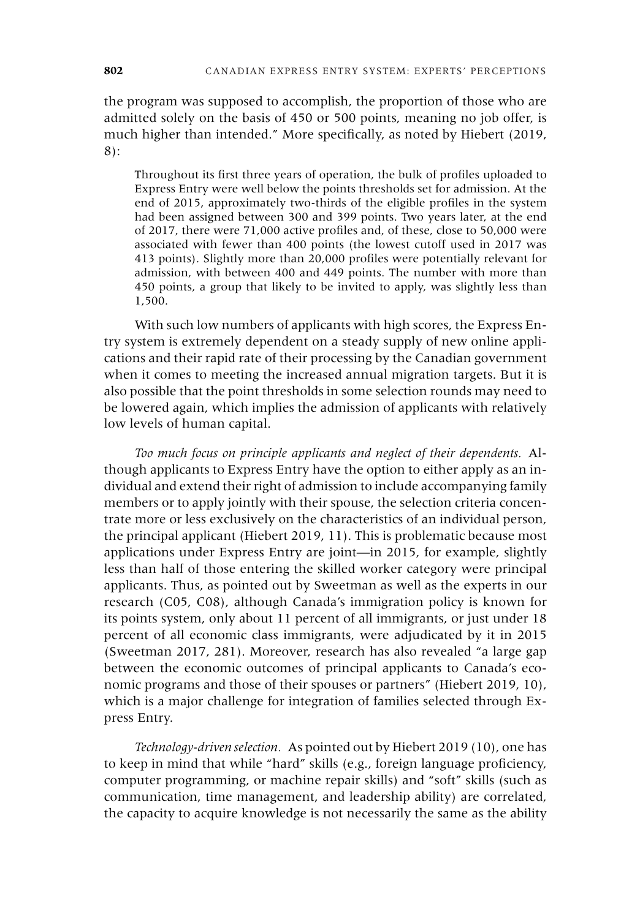the program was supposed to accomplish, the proportion of those who are admitted solely on the basis of 450 or 500 points, meaning no job offer, is much higher than intended." More specifically, as noted by Hiebert (2019, 8):

Throughout its first three years of operation, the bulk of profiles uploaded to Express Entry were well below the points thresholds set for admission. At the end of 2015, approximately two-thirds of the eligible profiles in the system had been assigned between 300 and 399 points. Two years later, at the end of 2017, there were 71,000 active profiles and, of these, close to 50,000 were associated with fewer than 400 points (the lowest cutoff used in 2017 was 413 points). Slightly more than 20,000 profiles were potentially relevant for admission, with between 400 and 449 points. The number with more than 450 points, a group that likely to be invited to apply, was slightly less than 1,500.

With such low numbers of applicants with high scores, the Express Entry system is extremely dependent on a steady supply of new online applications and their rapid rate of their processing by the Canadian government when it comes to meeting the increased annual migration targets. But it is also possible that the point thresholds in some selection rounds may need to be lowered again, which implies the admission of applicants with relatively low levels of human capital.

*Too much focus on principle applicants and neglect of their dependents.* Although applicants to Express Entry have the option to either apply as an individual and extend their right of admission to include accompanying family members or to apply jointly with their spouse, the selection criteria concentrate more or less exclusively on the characteristics of an individual person, the principal applicant (Hiebert 2019, 11). This is problematic because most applications under Express Entry are joint—in 2015, for example, slightly less than half of those entering the skilled worker category were principal applicants. Thus, as pointed out by Sweetman as well as the experts in our research (C05, C08), although Canada's immigration policy is known for its points system, only about 11 percent of all immigrants, or just under 18 percent of all economic class immigrants, were adjudicated by it in 2015 (Sweetman 2017, 281). Moreover, research has also revealed "a large gap between the economic outcomes of principal applicants to Canada's economic programs and those of their spouses or partners" (Hiebert 2019, 10), which is a major challenge for integration of families selected through Express Entry.

*Technology-driven selection.* As pointed out by Hiebert 2019 (10), one has to keep in mind that while "hard" skills (e.g., foreign language proficiency, computer programming, or machine repair skills) and "soft" skills (such as communication, time management, and leadership ability) are correlated, the capacity to acquire knowledge is not necessarily the same as the ability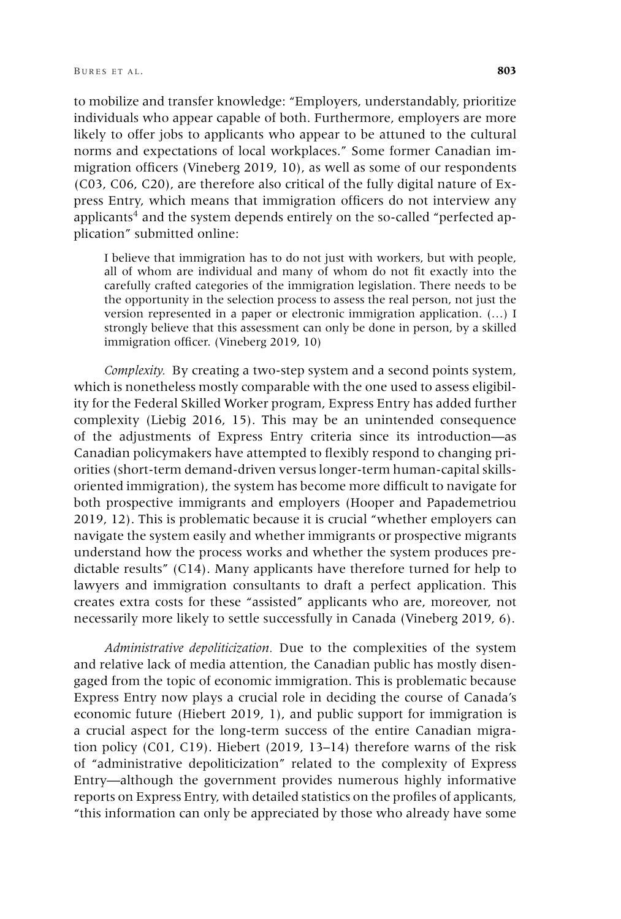to mobilize and transfer knowledge: "Employers, understandably, prioritize individuals who appear capable of both. Furthermore, employers are more likely to offer jobs to applicants who appear to be attuned to the cultural norms and expectations of local workplaces." Some former Canadian immigration officers (Vineberg 2019, 10), as well as some of our respondents (C03, C06, C20), are therefore also critical of the fully digital nature of Express Entry, which means that immigration officers do not interview any applicants<sup>4</sup> and the system depends entirely on the so-called "perfected application" submitted online:

I believe that immigration has to do not just with workers, but with people, all of whom are individual and many of whom do not fit exactly into the carefully crafted categories of the immigration legislation. There needs to be the opportunity in the selection process to assess the real person, not just the version represented in a paper or electronic immigration application. (…) I strongly believe that this assessment can only be done in person, by a skilled immigration officer. (Vineberg 2019, 10)

*Complexity.* By creating a two-step system and a second points system, which is nonetheless mostly comparable with the one used to assess eligibility for the Federal Skilled Worker program, Express Entry has added further complexity (Liebig 2016, 15). This may be an unintended consequence of the adjustments of Express Entry criteria since its introduction—as Canadian policymakers have attempted to flexibly respond to changing priorities (short-term demand-driven versus longer-term human-capital skillsoriented immigration), the system has become more difficult to navigate for both prospective immigrants and employers (Hooper and Papademetriou 2019, 12). This is problematic because it is crucial "whether employers can navigate the system easily and whether immigrants or prospective migrants understand how the process works and whether the system produces predictable results" (C14). Many applicants have therefore turned for help to lawyers and immigration consultants to draft a perfect application. This creates extra costs for these "assisted" applicants who are, moreover, not necessarily more likely to settle successfully in Canada (Vineberg 2019, 6).

*Administrative depoliticization.* Due to the complexities of the system and relative lack of media attention, the Canadian public has mostly disengaged from the topic of economic immigration. This is problematic because Express Entry now plays a crucial role in deciding the course of Canada's economic future (Hiebert 2019, 1), and public support for immigration is a crucial aspect for the long-term success of the entire Canadian migration policy (C01, C19). Hiebert (2019, 13–14) therefore warns of the risk of "administrative depoliticization" related to the complexity of Express Entry—although the government provides numerous highly informative reports on Express Entry, with detailed statistics on the profiles of applicants, "this information can only be appreciated by those who already have some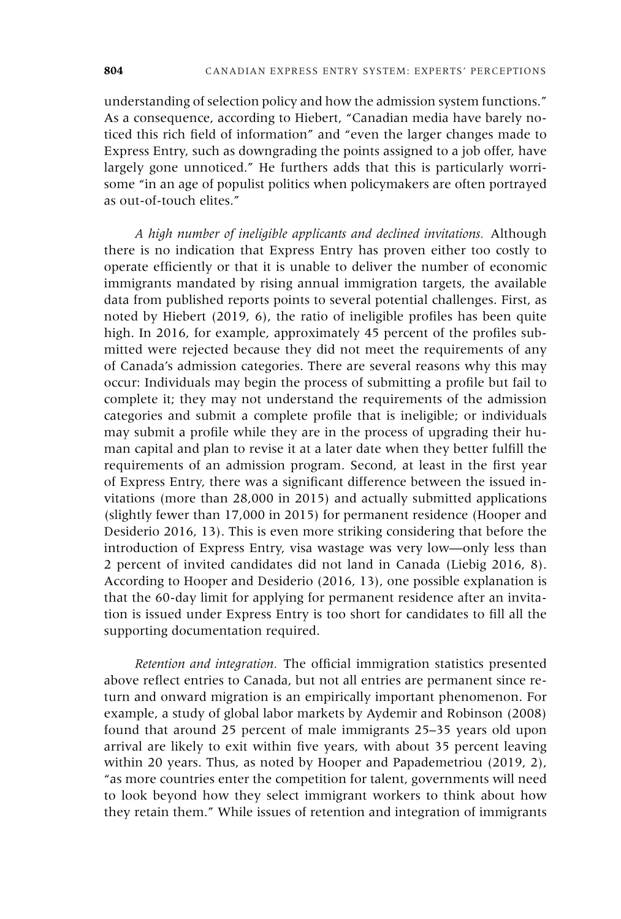understanding of selection policy and how the admission system functions." As a consequence, according to Hiebert, "Canadian media have barely noticed this rich field of information" and "even the larger changes made to Express Entry, such as downgrading the points assigned to a job offer, have largely gone unnoticed." He furthers adds that this is particularly worrisome "in an age of populist politics when policymakers are often portrayed as out-of-touch elites."

*A high number of ineligible applicants and declined invitations.* Although there is no indication that Express Entry has proven either too costly to operate efficiently or that it is unable to deliver the number of economic immigrants mandated by rising annual immigration targets, the available data from published reports points to several potential challenges. First, as noted by Hiebert (2019, 6), the ratio of ineligible profiles has been quite high. In 2016, for example, approximately 45 percent of the profiles submitted were rejected because they did not meet the requirements of any of Canada's admission categories. There are several reasons why this may occur: Individuals may begin the process of submitting a profile but fail to complete it; they may not understand the requirements of the admission categories and submit a complete profile that is ineligible; or individuals may submit a profile while they are in the process of upgrading their human capital and plan to revise it at a later date when they better fulfill the requirements of an admission program. Second, at least in the first year of Express Entry, there was a significant difference between the issued invitations (more than 28,000 in 2015) and actually submitted applications (slightly fewer than 17,000 in 2015) for permanent residence (Hooper and Desiderio 2016, 13). This is even more striking considering that before the introduction of Express Entry, visa wastage was very low—only less than 2 percent of invited candidates did not land in Canada (Liebig 2016, 8). According to Hooper and Desiderio (2016, 13), one possible explanation is that the 60-day limit for applying for permanent residence after an invitation is issued under Express Entry is too short for candidates to fill all the supporting documentation required.

*Retention and integration.* The official immigration statistics presented above reflect entries to Canada, but not all entries are permanent since return and onward migration is an empirically important phenomenon. For example, a study of global labor markets by Aydemir and Robinson (2008) found that around 25 percent of male immigrants 25–35 years old upon arrival are likely to exit within five years, with about 35 percent leaving within 20 years. Thus, as noted by Hooper and Papademetriou (2019, 2), "as more countries enter the competition for talent, governments will need to look beyond how they select immigrant workers to think about how they retain them." While issues of retention and integration of immigrants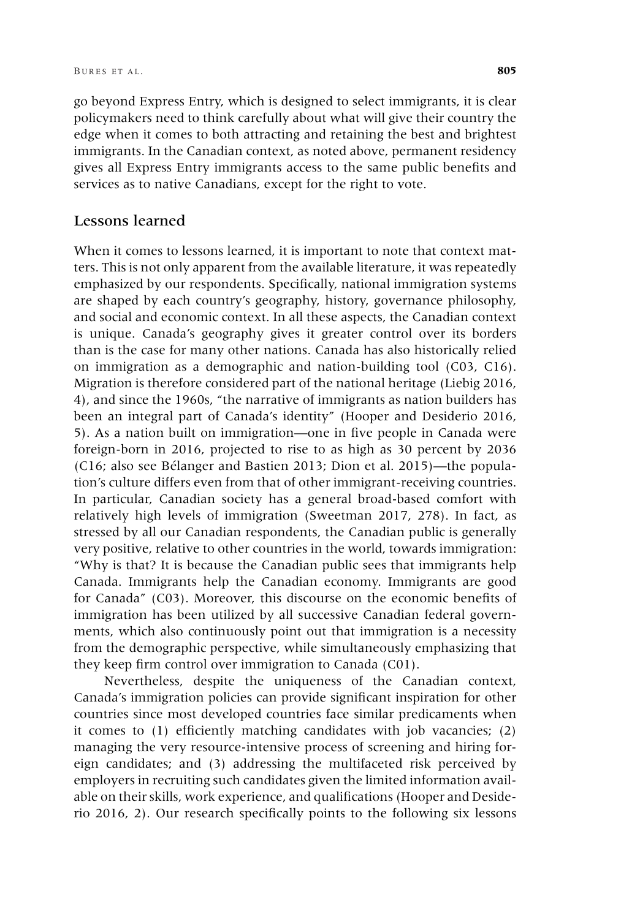go beyond Express Entry, which is designed to select immigrants, it is clear policymakers need to think carefully about what will give their country the edge when it comes to both attracting and retaining the best and brightest immigrants. In the Canadian context, as noted above, permanent residency gives all Express Entry immigrants access to the same public benefits and services as to native Canadians, except for the right to vote.

## Lessons learned

When it comes to lessons learned, it is important to note that context matters. This is not only apparent from the available literature, it was repeatedly emphasized by our respondents. Specifically, national immigration systems are shaped by each country's geography, history, governance philosophy, and social and economic context. In all these aspects, the Canadian context is unique. Canada's geography gives it greater control over its borders than is the case for many other nations. Canada has also historically relied on immigration as a demographic and nation-building tool (C03, C16). Migration is therefore considered part of the national heritage (Liebig 2016, 4), and since the 1960s, "the narrative of immigrants as nation builders has been an integral part of Canada's identity" (Hooper and Desiderio 2016, 5). As a nation built on immigration—one in five people in Canada were foreign-born in 2016, projected to rise to as high as 30 percent by 2036 (C16; also see Bélanger and Bastien 2013; Dion et al. 2015)—the population's culture differs even from that of other immigrant-receiving countries. In particular, Canadian society has a general broad-based comfort with relatively high levels of immigration (Sweetman 2017, 278). In fact, as stressed by all our Canadian respondents, the Canadian public is generally very positive, relative to other countries in the world, towards immigration: "Why is that? It is because the Canadian public sees that immigrants help Canada. Immigrants help the Canadian economy. Immigrants are good for Canada" (C03). Moreover, this discourse on the economic benefits of immigration has been utilized by all successive Canadian federal governments, which also continuously point out that immigration is a necessity from the demographic perspective, while simultaneously emphasizing that they keep firm control over immigration to Canada (C01).

Nevertheless, despite the uniqueness of the Canadian context, Canada's immigration policies can provide significant inspiration for other countries since most developed countries face similar predicaments when it comes to (1) efficiently matching candidates with job vacancies; (2) managing the very resource-intensive process of screening and hiring foreign candidates; and (3) addressing the multifaceted risk perceived by employers in recruiting such candidates given the limited information available on their skills, work experience, and qualifications (Hooper and Desiderio 2016, 2). Our research specifically points to the following six lessons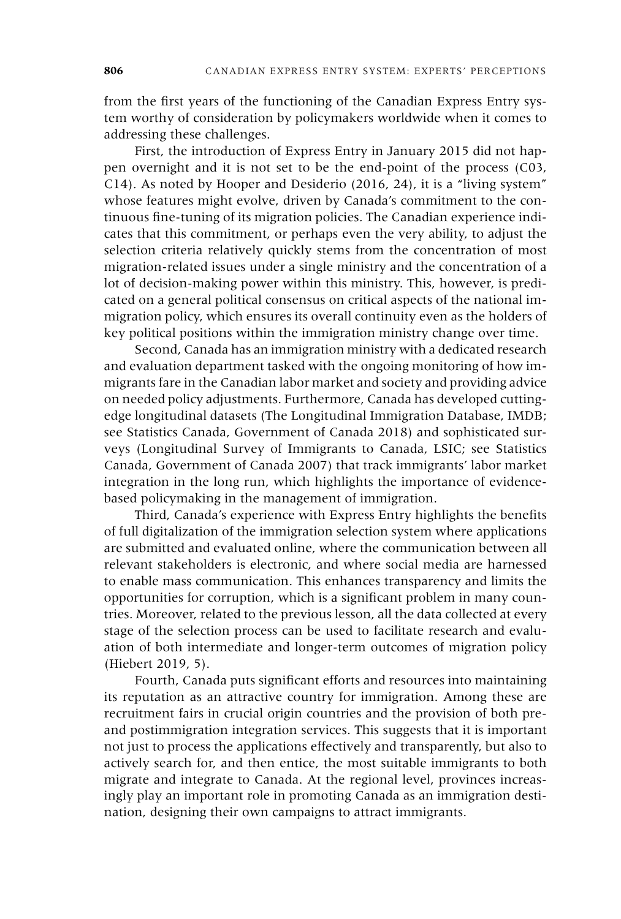from the first years of the functioning of the Canadian Express Entry system worthy of consideration by policymakers worldwide when it comes to addressing these challenges.

First, the introduction of Express Entry in January 2015 did not happen overnight and it is not set to be the end-point of the process (C03, C14). As noted by Hooper and Desiderio (2016, 24), it is a "living system" whose features might evolve, driven by Canada's commitment to the continuous fine-tuning of its migration policies. The Canadian experience indicates that this commitment, or perhaps even the very ability, to adjust the selection criteria relatively quickly stems from the concentration of most migration-related issues under a single ministry and the concentration of a lot of decision-making power within this ministry. This, however, is predicated on a general political consensus on critical aspects of the national immigration policy, which ensures its overall continuity even as the holders of key political positions within the immigration ministry change over time.

Second, Canada has an immigration ministry with a dedicated research and evaluation department tasked with the ongoing monitoring of how immigrants fare in the Canadian labor market and society and providing advice on needed policy adjustments. Furthermore, Canada has developed cuttingedge longitudinal datasets (The Longitudinal Immigration Database, IMDB; see Statistics Canada, Government of Canada 2018) and sophisticated surveys (Longitudinal Survey of Immigrants to Canada, LSIC; see Statistics Canada, Government of Canada 2007) that track immigrants' labor market integration in the long run, which highlights the importance of evidencebased policymaking in the management of immigration.

Third, Canada's experience with Express Entry highlights the benefits of full digitalization of the immigration selection system where applications are submitted and evaluated online, where the communication between all relevant stakeholders is electronic, and where social media are harnessed to enable mass communication. This enhances transparency and limits the opportunities for corruption, which is a significant problem in many countries. Moreover, related to the previous lesson, all the data collected at every stage of the selection process can be used to facilitate research and evaluation of both intermediate and longer-term outcomes of migration policy (Hiebert 2019, 5).

Fourth, Canada puts significant efforts and resources into maintaining its reputation as an attractive country for immigration. Among these are recruitment fairs in crucial origin countries and the provision of both preand postimmigration integration services. This suggests that it is important not just to process the applications effectively and transparently, but also to actively search for, and then entice, the most suitable immigrants to both migrate and integrate to Canada. At the regional level, provinces increasingly play an important role in promoting Canada as an immigration destination, designing their own campaigns to attract immigrants.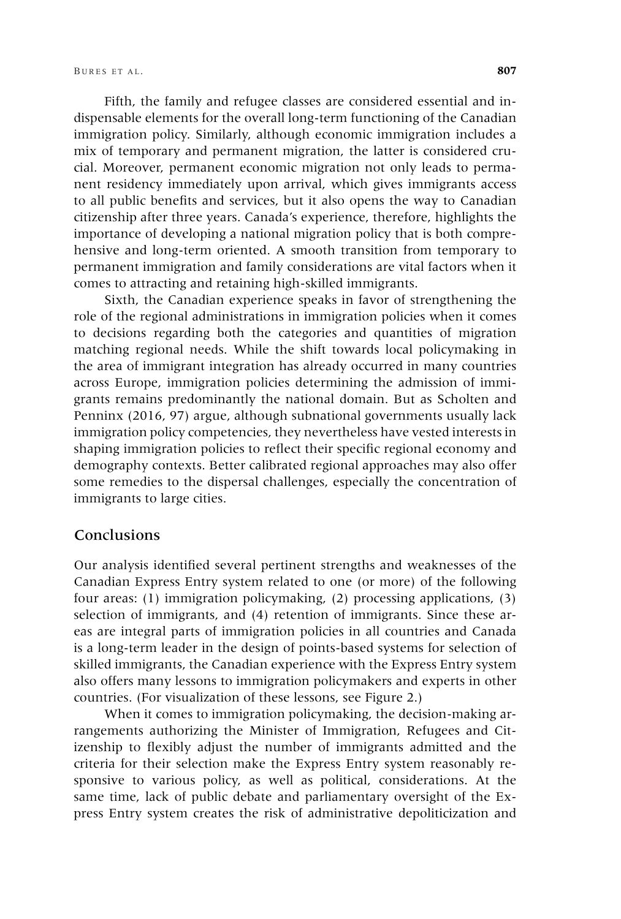Fifth, the family and refugee classes are considered essential and indispensable elements for the overall long-term functioning of the Canadian immigration policy. Similarly, although economic immigration includes a mix of temporary and permanent migration, the latter is considered crucial. Moreover, permanent economic migration not only leads to permanent residency immediately upon arrival, which gives immigrants access to all public benefits and services, but it also opens the way to Canadian citizenship after three years. Canada's experience, therefore, highlights the importance of developing a national migration policy that is both comprehensive and long-term oriented. A smooth transition from temporary to permanent immigration and family considerations are vital factors when it comes to attracting and retaining high-skilled immigrants.

Sixth, the Canadian experience speaks in favor of strengthening the role of the regional administrations in immigration policies when it comes to decisions regarding both the categories and quantities of migration matching regional needs. While the shift towards local policymaking in the area of immigrant integration has already occurred in many countries across Europe, immigration policies determining the admission of immigrants remains predominantly the national domain. But as Scholten and Penninx (2016, 97) argue, although subnational governments usually lack immigration policy competencies, they nevertheless have vested interests in shaping immigration policies to reflect their specific regional economy and demography contexts. Better calibrated regional approaches may also offer some remedies to the dispersal challenges, especially the concentration of immigrants to large cities.

#### Conclusions

Our analysis identified several pertinent strengths and weaknesses of the Canadian Express Entry system related to one (or more) of the following four areas: (1) immigration policymaking, (2) processing applications, (3) selection of immigrants, and (4) retention of immigrants. Since these areas are integral parts of immigration policies in all countries and Canada is a long-term leader in the design of points-based systems for selection of skilled immigrants, the Canadian experience with the Express Entry system also offers many lessons to immigration policymakers and experts in other countries. (For visualization of these lessons, see Figure 2.)

When it comes to immigration policymaking, the decision-making arrangements authorizing the Minister of Immigration, Refugees and Citizenship to flexibly adjust the number of immigrants admitted and the criteria for their selection make the Express Entry system reasonably responsive to various policy, as well as political, considerations. At the same time, lack of public debate and parliamentary oversight of the Express Entry system creates the risk of administrative depoliticization and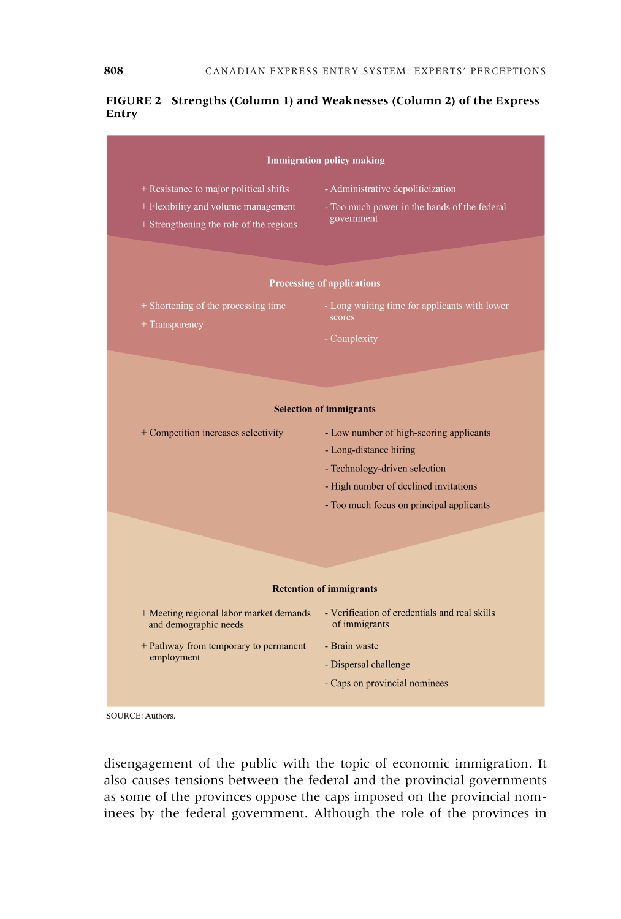#### **FIGURE 2 Strengths (Column 1) and Weaknesses (Column 2) of the Express Entry**



SOURCE: Authors.

disengagement of the public with the topic of economic immigration. It also causes tensions between the federal and the provincial governments as some of the provinces oppose the caps imposed on the provincial nominees by the federal government. Although the role of the provinces in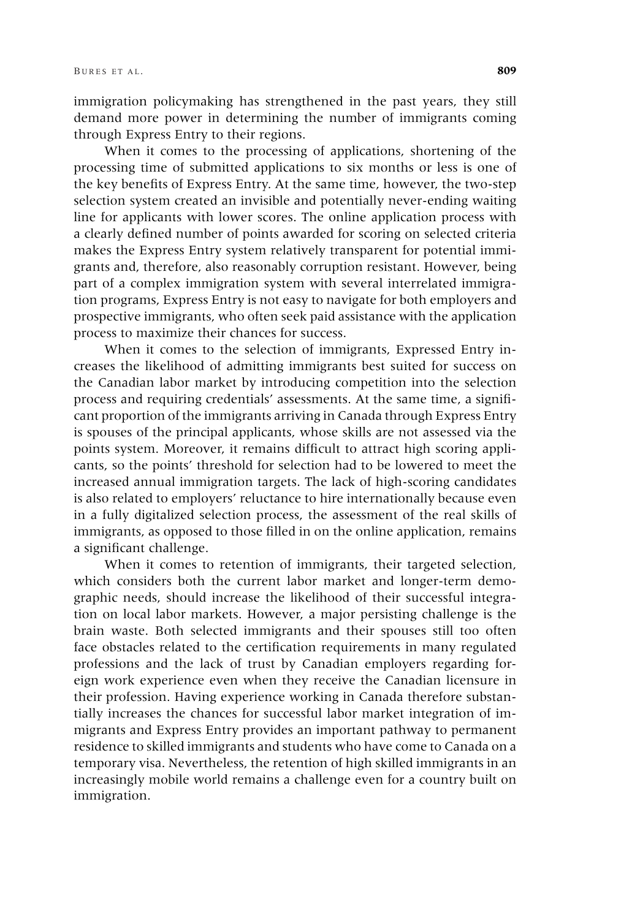immigration policymaking has strengthened in the past years, they still demand more power in determining the number of immigrants coming through Express Entry to their regions.

When it comes to the processing of applications, shortening of the processing time of submitted applications to six months or less is one of the key benefits of Express Entry. At the same time, however, the two-step selection system created an invisible and potentially never-ending waiting line for applicants with lower scores. The online application process with a clearly defined number of points awarded for scoring on selected criteria makes the Express Entry system relatively transparent for potential immigrants and, therefore, also reasonably corruption resistant. However, being part of a complex immigration system with several interrelated immigration programs, Express Entry is not easy to navigate for both employers and prospective immigrants, who often seek paid assistance with the application process to maximize their chances for success.

When it comes to the selection of immigrants, Expressed Entry increases the likelihood of admitting immigrants best suited for success on the Canadian labor market by introducing competition into the selection process and requiring credentials' assessments. At the same time, a significant proportion of the immigrants arriving in Canada through Express Entry is spouses of the principal applicants, whose skills are not assessed via the points system. Moreover, it remains difficult to attract high scoring applicants, so the points' threshold for selection had to be lowered to meet the increased annual immigration targets. The lack of high-scoring candidates is also related to employers' reluctance to hire internationally because even in a fully digitalized selection process, the assessment of the real skills of immigrants, as opposed to those filled in on the online application, remains a significant challenge.

When it comes to retention of immigrants, their targeted selection, which considers both the current labor market and longer-term demographic needs, should increase the likelihood of their successful integration on local labor markets. However, a major persisting challenge is the brain waste. Both selected immigrants and their spouses still too often face obstacles related to the certification requirements in many regulated professions and the lack of trust by Canadian employers regarding foreign work experience even when they receive the Canadian licensure in their profession. Having experience working in Canada therefore substantially increases the chances for successful labor market integration of immigrants and Express Entry provides an important pathway to permanent residence to skilled immigrants and students who have come to Canada on a temporary visa. Nevertheless, the retention of high skilled immigrants in an increasingly mobile world remains a challenge even for a country built on immigration.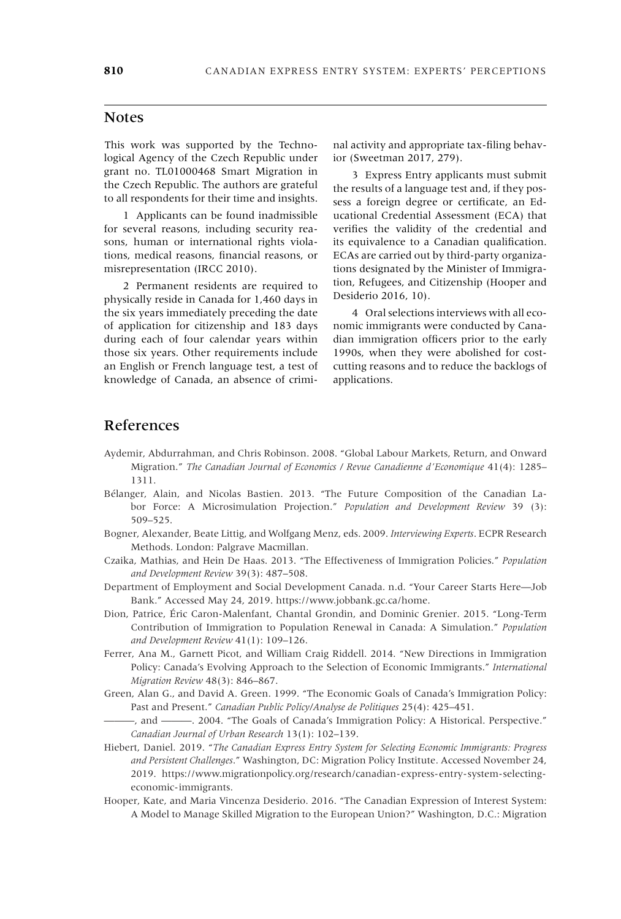#### **Notes**

This work was supported by the Technological Agency of the Czech Republic under grant no. TL01000468 Smart Migration in the Czech Republic. The authors are grateful to all respondents for their time and insights.

1 Applicants can be found inadmissible for several reasons, including security reasons, human or international rights violations, medical reasons, financial reasons, or misrepresentation (IRCC 2010).

2 Permanent residents are required to physically reside in Canada for 1,460 days in the six years immediately preceding the date of application for citizenship and 183 days during each of four calendar years within those six years. Other requirements include an English or French language test, a test of knowledge of Canada, an absence of criminal activity and appropriate tax-filing behavior (Sweetman 2017, 279).

3 Express Entry applicants must submit the results of a language test and, if they possess a foreign degree or certificate, an Educational Credential Assessment (ECA) that verifies the validity of the credential and its equivalence to a Canadian qualification. ECAs are carried out by third-party organizations designated by the Minister of Immigration, Refugees, and Citizenship (Hooper and Desiderio 2016, 10).

4 Oral selections interviews with all economic immigrants were conducted by Canadian immigration officers prior to the early 1990s, when they were abolished for costcutting reasons and to reduce the backlogs of applications.

## References

- Aydemir, Abdurrahman, and Chris Robinson. 2008. "Global Labour Markets, Return, and Onward Migration." *The Canadian Journal of Economics / Revue Canadienne d'Economique* 41(4): 1285– 1311.
- Bélanger, Alain, and Nicolas Bastien. 2013. "The Future Composition of the Canadian Labor Force: A Microsimulation Projection." *Population and Development Review* 39 (3): 509–525.
- Bogner, Alexander, Beate Littig, and Wolfgang Menz, eds. 2009. *Interviewing Experts*. ECPR Research Methods. London: Palgrave Macmillan.
- Czaika, Mathias, and Hein De Haas. 2013. "The Effectiveness of Immigration Policies." *Population and Development Review* 39(3): 487–508.
- Department of Employment and Social Development Canada. n.d. "Your Career Starts Here—Job Bank." Accessed May 24, 2019. [https://www.jobbank.gc.ca/home.](https://www.jobbank.gc.ca/home)
- Dion, Patrice, Éric Caron-Malenfant, Chantal Grondin, and Dominic Grenier. 2015. "Long-Term Contribution of Immigration to Population Renewal in Canada: A Simulation." *Population and Development Review* 41(1): 109–126.
- Ferrer, Ana M., Garnett Picot, and William Craig Riddell. 2014. "New Directions in Immigration Policy: Canada's Evolving Approach to the Selection of Economic Immigrants." *International Migration Review* 48(3): 846–867.
- Green, Alan G., and David A. Green. 1999. "The Economic Goals of Canada's Immigration Policy: Past and Present." *Canadian Public Policy/Analyse de Politiques* 25(4): 425–451.
- ———, and ———. 2004. "The Goals of Canada's Immigration Policy: A Historical. Perspective." *Canadian Journal of Urban Research* 13(1): 102–139.
- Hiebert, Daniel. 2019. "*The Canadian Express Entry System for Selecting Economic Immigrants: Progress and Persistent Challenges*." Washington, DC: Migration Policy Institute. Accessed November 24, 2019. [https://www.migrationpolicy.org/research/canadian-express-entry-system-selecting](https://www.migrationpolicy.org/research/canadian-express-entry-system-selecting-economic-immigrants)[economic-immigrants.](https://www.migrationpolicy.org/research/canadian-express-entry-system-selecting-economic-immigrants)
- Hooper, Kate, and Maria Vincenza Desiderio. 2016. "The Canadian Expression of Interest System: A Model to Manage Skilled Migration to the European Union?" Washington, D.C.: Migration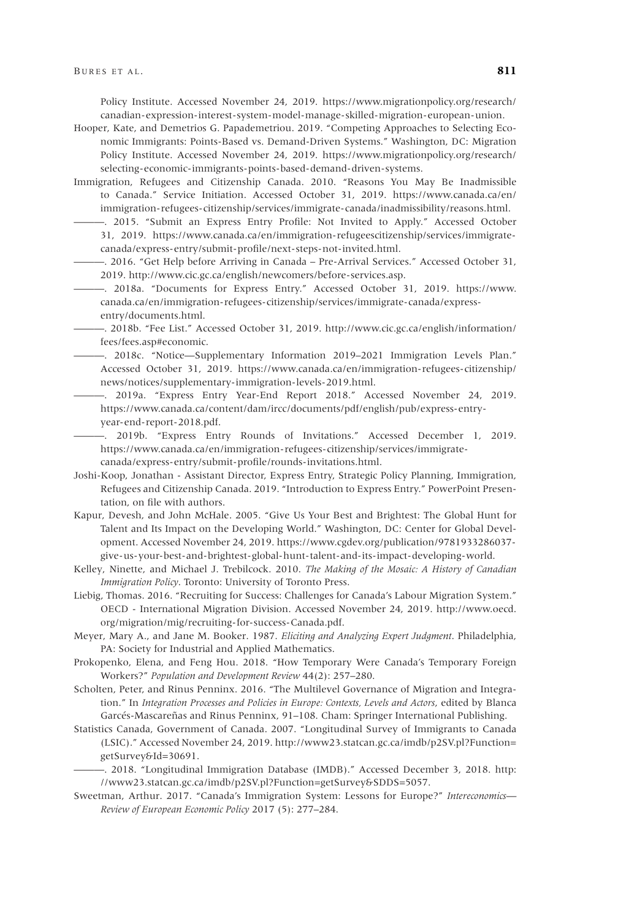Policy Institute. Accessed November 24, 2019. [https://www.migrationpolicy.org/research/](https://www.migrationpolicy.org/research/canadian-expression-interest-system-model-manage-skilled-migration-european-union) [canadian-expression-interest-system-model-manage-skilled-migration-european-union.](https://www.migrationpolicy.org/research/canadian-expression-interest-system-model-manage-skilled-migration-european-union)

- Hooper, Kate, and Demetrios G. Papademetriou. 2019. "Competing Approaches to Selecting Economic Immigrants: Points-Based vs. Demand-Driven Systems." Washington, DC: Migration Policy Institute. Accessed November 24, 2019. [https://www.migrationpolicy.org/research/](https://www.migrationpolicy.org/research/selecting-economic-immigrants-points-based-demand-driven-systems) [selecting-economic-immigrants-points-based-demand-driven-systems.](https://www.migrationpolicy.org/research/selecting-economic-immigrants-points-based-demand-driven-systems)
- Immigration, Refugees and Citizenship Canada. 2010. "Reasons You May Be Inadmissible to Canada." Service Initiation. Accessed October 31, 2019. [https://www.canada.ca/en/](https://www.canada.ca/en/immigration-refugees-citizenship/services/immigrate-canada/inadmissibility/reasons.html) [immigration-refugees-citizenship/services/immigrate-canada/inadmissibility/reasons.html.](https://www.canada.ca/en/immigration-refugees-citizenship/services/immigrate-canada/inadmissibility/reasons.html)
	- ———. 2015. "Submit an Express Entry Profile: Not Invited to Apply." Accessed October 31, 2019. [https://www.canada.ca/en/immigration-refugeescitizenship/services/immigrate](https://www.canada.ca/en/immigration-refugeescitizenship/services/immigrate-canada/express-entry/submit-profile/next-steps-not-invited.html)[canada/express-entry/submit-profile/next-steps-not-invited.html.](https://www.canada.ca/en/immigration-refugeescitizenship/services/immigrate-canada/express-entry/submit-profile/next-steps-not-invited.html)
	- ———. 2016. "Get Help before Arriving in Canada Pre-Arrival Services." Accessed October 31, 2019. [http://www.cic.gc.ca/english/newcomers/before-services.asp.](http://www.cic.gc.ca/english/newcomers/before-services.asp)
- ———. 2018a. "Documents for Express Entry." Accessed October 31, 2019. [https://www.](https://www.canada.ca/en/immigration-refugees-citizenship/services/immigrate-canada/express-entry/documents.html) [canada.ca/en/immigration-refugees-citizenship/services/immigrate-canada/express](https://www.canada.ca/en/immigration-refugees-citizenship/services/immigrate-canada/express-entry/documents.html)[entry/documents.html.](https://www.canada.ca/en/immigration-refugees-citizenship/services/immigrate-canada/express-entry/documents.html)
- ———. 2018b. "Fee List." Accessed October 31, 2019. [http://www.cic.gc.ca/english/information/](http://www.cic.gc.ca/english/information/fees/fees.asp#economic) [fees/fees.asp#economic.](http://www.cic.gc.ca/english/information/fees/fees.asp#economic)
	- ———. 2018c. "Notice—Supplementary Information 2019–2021 Immigration Levels Plan." Accessed October 31, 2019. [https://www.canada.ca/en/immigration-refugees-citizenship/](https://www.canada.ca/en/immigration-refugees-citizenship/news/notices/supplementary-immigration-levels-2019.html) [news/notices/supplementary-immigration-levels-2019.html.](https://www.canada.ca/en/immigration-refugees-citizenship/news/notices/supplementary-immigration-levels-2019.html)
	- ———. 2019a. "Express Entry Year-End Report 2018." Accessed November 24, 2019. [https://www.canada.ca/content/dam/ircc/documents/pdf/english/pub/express-entry](https://www.canada.ca/content/dam/ircc/documents/pdf/english/pub/express-entry-year-end-report-2018.pdf)[year-end-report-2018.pdf.](https://www.canada.ca/content/dam/ircc/documents/pdf/english/pub/express-entry-year-end-report-2018.pdf)
	- ———. 2019b. "Express Entry Rounds of Invitations." Accessed December 1, 2019. [https://www.canada.ca/en/immigration-refugees-citizenship/services/immigrate](https://www.canada.ca/en/immigration-refugees-citizenship/services/immigrate-canada/express-entry/submit-profile/rounds-invitations.html)[canada/express-entry/submit-profile/rounds-invitations.html.](https://www.canada.ca/en/immigration-refugees-citizenship/services/immigrate-canada/express-entry/submit-profile/rounds-invitations.html)
- Joshi-Koop, Jonathan Assistant Director, Express Entry, Strategic Policy Planning, Immigration, Refugees and Citizenship Canada. 2019. "Introduction to Express Entry." PowerPoint Presentation, on file with authors.
- Kapur, Devesh, and John McHale. 2005. "Give Us Your Best and Brightest: The Global Hunt for Talent and Its Impact on the Developing World." Washington, DC: Center for Global Development. Accessed November 24, 2019. [https://www.cgdev.org/publication/9781933286037](https://www.cgdev.org/publication/9781933286037-give-us-your-best-and-brightest-global-hunt-talent-and-its-impact-developing-world) [give-us-your-best-and-brightest-global-hunt-talent-and-its-impact-developing-world.](https://www.cgdev.org/publication/9781933286037-give-us-your-best-and-brightest-global-hunt-talent-and-its-impact-developing-world)
- Kelley, Ninette, and Michael J. Trebilcock. 2010. *The Making of the Mosaic: A History of Canadian Immigration Policy*. Toronto: University of Toronto Press.
- Liebig, Thomas. 2016. "Recruiting for Success: Challenges for Canada's Labour Migration System." OECD - International Migration Division. Accessed November 24, 2019. [http://www.oecd.](http://www.oecd.org/migration/mig/recruiting-for-success-Canada.pdf) [org/migration/mig/recruiting-for-success-Canada.pdf.](http://www.oecd.org/migration/mig/recruiting-for-success-Canada.pdf)

Meyer, Mary A., and Jane M. Booker. 1987. *Eliciting and Analyzing Expert Judgment*. Philadelphia, PA: Society for Industrial and Applied Mathematics.

- Prokopenko, Elena, and Feng Hou. 2018. "How Temporary Were Canada's Temporary Foreign Workers?" *Population and Development Review* 44(2): 257–280.
- Scholten, Peter, and Rinus Penninx. 2016. "The Multilevel Governance of Migration and Integration." In *Integration Processes and Policies in Europe: Contexts, Levels and Actors*, edited by Blanca Garcés-Mascareñas and Rinus Penninx, 91–108. Cham: Springer International Publishing.
- Statistics Canada, Government of Canada. 2007. "Longitudinal Survey of Immigrants to Canada (LSIC)." Accessed November 24, 2019. [http://www23.statcan.gc.ca/imdb/p2SV.pl?Function=](http://www23.statcan.gc.ca/imdb/p2SV.pl?Function=getSurvey&Id=30691) [getSurvey&Id=30691.](http://www23.statcan.gc.ca/imdb/p2SV.pl?Function=getSurvey&Id=30691)
- ———. 2018. "Longitudinal Immigration Database (IMDB)." Accessed December 3, 2018. [http:](http://www23.statcan.gc.ca/imdb/p2SV.pl?Function=getSurvey&SDDS=5057) [//www23.statcan.gc.ca/imdb/p2SV.pl?Function=getSurvey&SDDS=5057.](http://www23.statcan.gc.ca/imdb/p2SV.pl?Function=getSurvey&SDDS=5057)
- Sweetman, Arthur. 2017. "Canada's Immigration System: Lessons for Europe?" *Intereconomics— Review of European Economic Policy* 2017 (5): 277–284.